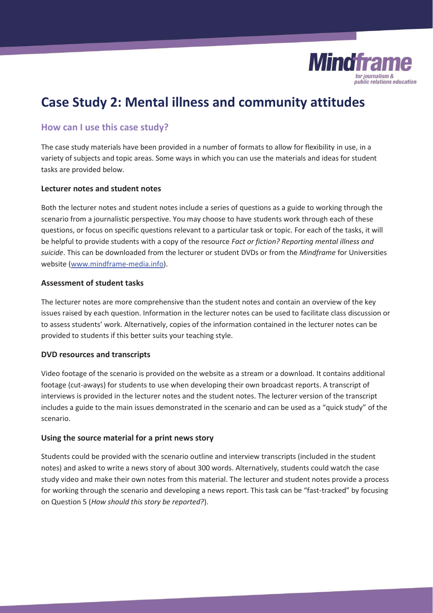

# **Case Study 2: Mental illness and community attitudes**

## **How can I use this case study?**

The case study materials have been provided in a number of formats to allow for flexibility in use, in a variety of subjects and topic areas. Some ways in which you can use the materials and ideas for student tasks are provided below.

## **Lecturer notes and student notes**

Both the lecturer notes and student notes include a series of questions as a guide to working through the scenario from a journalistic perspective. You may choose to have students work through each of these questions, or focus on specific questions relevant to a particular task or topic. For each of the tasks, it will be helpful to provide students with a copy of the resource *Fact or fiction? Reporting mental illness and suicide*. This can be downloaded from the lecturer or student DVDs or from the *Mindframe* for Universities website (www.mindframe-media.info).

## **Assessment of student tasks**

The lecturer notes are more comprehensive than the student notes and contain an overview of the key issues raised by each question. Information in the lecturer notes can be used to facilitate class discussion or to assess students' work. Alternatively, copies of the information contained in the lecturer notes can be provided to students if this better suits your teaching style.

## **DVD resources and transcripts**

Video footage of the scenario is provided on the website as a stream or a download. It contains additional footage (cut-aways) for students to use when developing their own broadcast reports. A transcript of interviews is provided in the lecturer notes and the student notes. The lecturer version of the transcript includes a guide to the main issues demonstrated in the scenario and can be used as a "quick study" of the scenario.

#### **Using the source material for a print news story**

Students could be provided with the scenario outline and interview transcripts (included in the student notes) and asked to write a news story of about 300 words. Alternatively, students could watch the case study video and make their own notes from this material. The lecturer and student notes provide a process for working through the scenario and developing a news report. This task can be "fast-tracked" by focusing on Question 5 (*How should this story be reported?*).